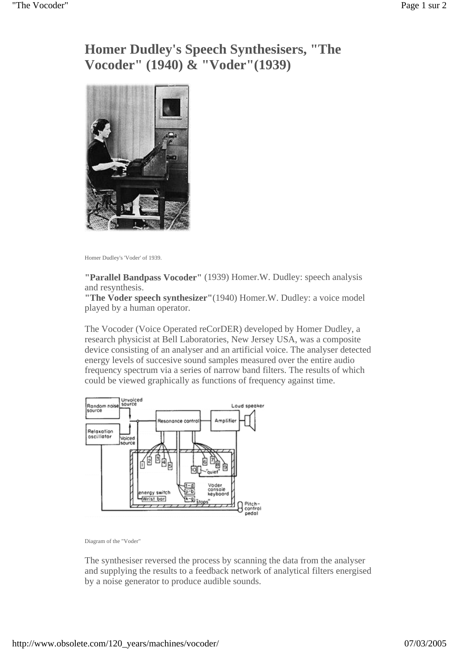## **Homer Dudley's Speech Synthesisers, "The Vocoder" (1940) & "Voder"(1939)**



Homer Dudley's 'Voder' of 1939.

**"Parallel Bandpass Vocoder"** (1939) Homer.W. Dudley: speech analysis and resynthesis.

**"The Voder speech synthesizer"**(1940) Homer.W. Dudley: a voice model played by a human operator.

The Vocoder (Voice Operated reCorDER) developed by Homer Dudley, a research physicist at Bell Laboratories, New Jersey USA, was a composite device consisting of an analyser and an artificial voice. The analyser detected energy levels of succesive sound samples measured over the entire audio frequency spectrum via a series of narrow band filters. The results of which could be viewed graphically as functions of frequency against time.



Diagram of the "Voder"

The synthesiser reversed the process by scanning the data from the analyser and supplying the results to a feedback network of analytical filters energised by a noise generator to produce audible sounds.